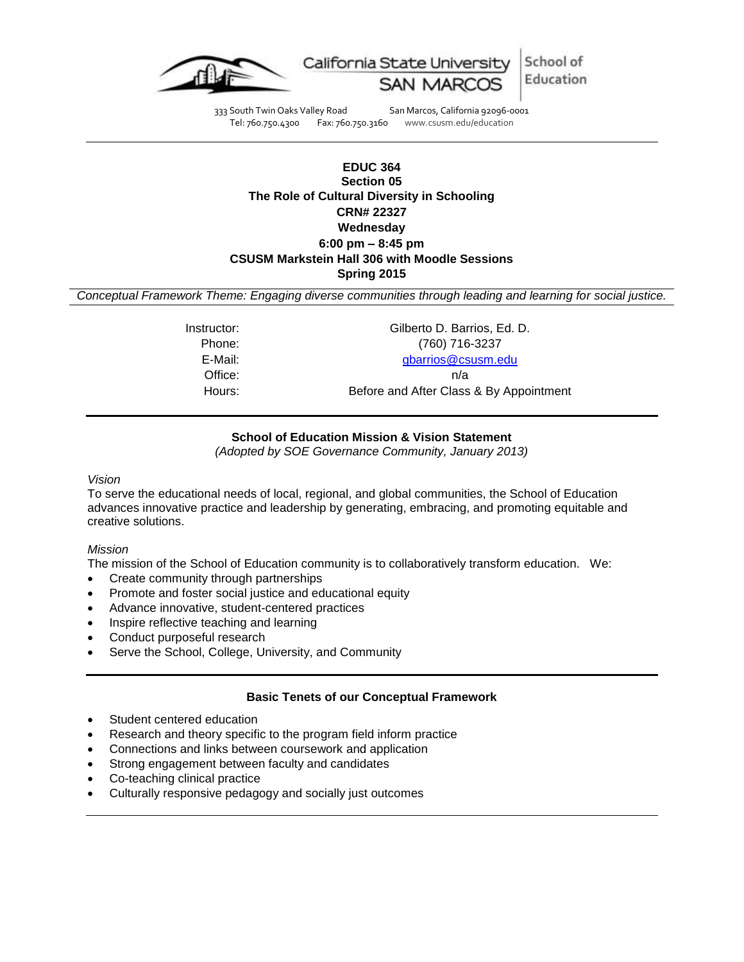

333 South Twin Oaks Valley Road San Marcos, California 92096-0001<br>Tel: 760.750.4300 Fax: 760.750.3160 www.csusm.edu/education www.csusm.edu/education

# **EDUC 364 Section 05 The Role of Cultural Diversity in Schooling CRN# 22327 Wednesday 6:00 pm – 8:45 pm CSUSM Markstein Hall 306 with Moodle Sessions Spring 2015**

*Conceptual Framework Theme: Engaging diverse communities through leading and learning for social justice.*

Instructor: Gilberto D. Barrios, Ed. D. Phone: (760) 716-3237 E-Mail: [gbarrios@csusm.edu](mailto:gbarrios@csusm.edu) Office: n/a Hours: Before and After Class & By Appointment

#### **School of Education Mission & Vision Statement**

*(Adopted by SOE Governance Community, January 2013)*

#### *Vision*

To serve the educational needs of local, regional, and global communities, the School of Education advances innovative practice and leadership by generating, embracing, and promoting equitable and creative solutions.

#### *Mission*

The mission of the School of Education community is to collaboratively transform education. We:

- Create community through partnerships
- Promote and foster social justice and educational equity
- Advance innovative, student-centered practices
- Inspire reflective teaching and learning
- Conduct purposeful research
- Serve the School, College, University, and Community

#### **Basic Tenets of our Conceptual Framework**

- Student centered education
- Research and theory specific to the program field inform practice
- Connections and links between coursework and application
- Strong engagement between faculty and candidates
- Co-teaching clinical practice
- Culturally responsive pedagogy and socially just outcomes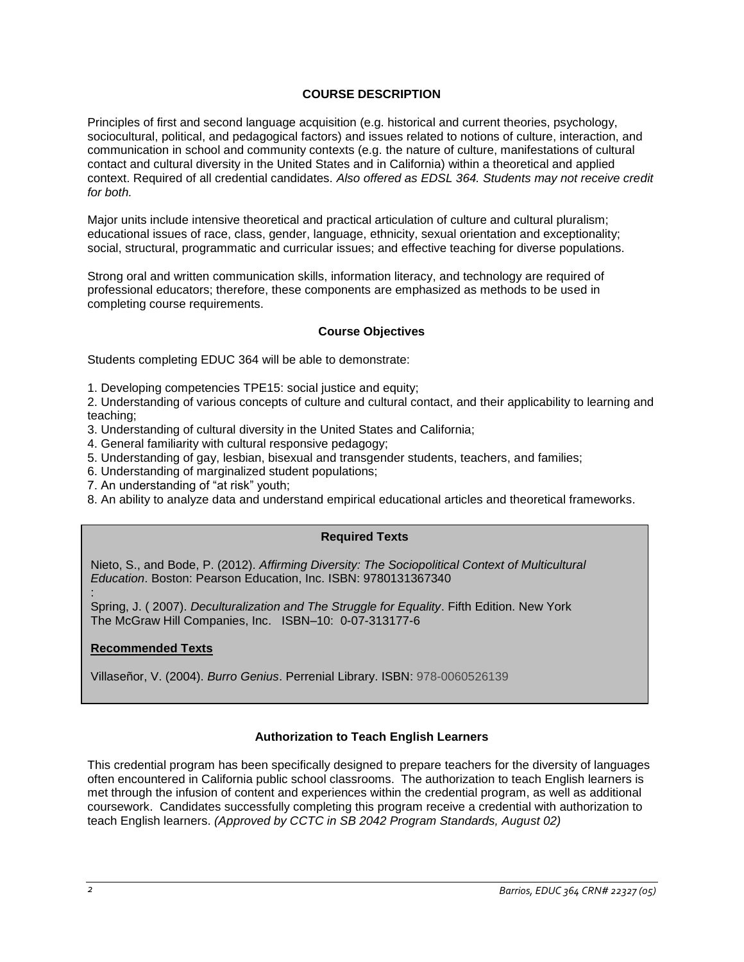# **COURSE DESCRIPTION**

Principles of first and second language acquisition (e.g. historical and current theories, psychology, sociocultural, political, and pedagogical factors) and issues related to notions of culture, interaction, and communication in school and community contexts (e.g. the nature of culture, manifestations of cultural contact and cultural diversity in the United States and in California) within a theoretical and applied context. Required of all credential candidates. *Also offered as EDSL 364. Students may not receive credit for both.*

Major units include intensive theoretical and practical articulation of culture and cultural pluralism; educational issues of race, class, gender, language, ethnicity, sexual orientation and exceptionality; social, structural, programmatic and curricular issues; and effective teaching for diverse populations.

Strong oral and written communication skills, information literacy, and technology are required of professional educators; therefore, these components are emphasized as methods to be used in completing course requirements.

#### **Course Objectives**

Students completing EDUC 364 will be able to demonstrate:

1. Developing competencies TPE15: social justice and equity;

2. Understanding of various concepts of culture and cultural contact, and their applicability to learning and teaching;

- 3. Understanding of cultural diversity in the United States and California;
- 4. General familiarity with cultural responsive pedagogy;
- 5. Understanding of gay, lesbian, bisexual and transgender students, teachers, and families;
- 6. Understanding of marginalized student populations;
- 7. An understanding of "at risk" youth;
- 8. An ability to analyze data and understand empirical educational articles and theoretical frameworks.

#### **Required Texts**

Nieto, S., and Bode, P. (2012). *Affirming Diversity: The Sociopolitical Context of Multicultural Education*. Boston: Pearson Education, Inc. ISBN: 9780131367340

: Spring, J. ( 2007). *Deculturalization and The Struggle for Equality*. Fifth Edition. New York The McGraw Hill Companies, Inc. ISBN–10: 0-07-313177-6

## **Recommended Texts**

Villaseñor, V. (2004). *Burro Genius*. Perrenial Library. ISBN: 978-0060526139

## **Authorization to Teach English Learners**

This credential program has been specifically designed to prepare teachers for the diversity of languages often encountered in California public school classrooms. The authorization to teach English learners is met through the infusion of content and experiences within the credential program, as well as additional coursework. Candidates successfully completing this program receive a credential with authorization to teach English learners. *(Approved by CCTC in SB 2042 Program Standards, August 02)*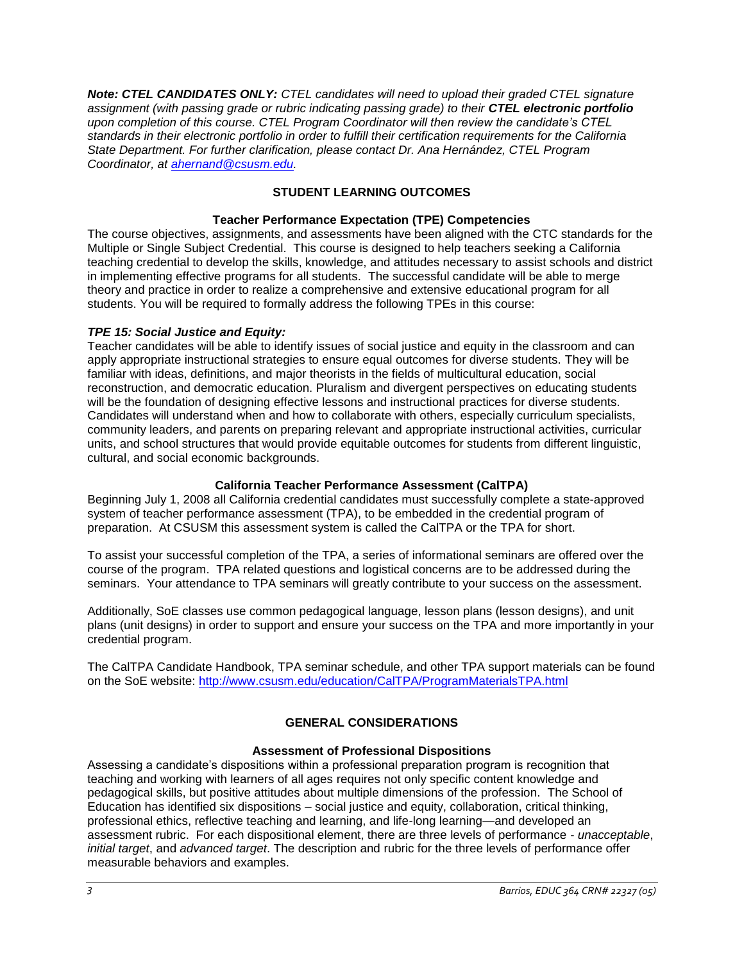*Note: CTEL CANDIDATES ONLY: CTEL candidates will need to upload their graded CTEL signature assignment (with passing grade or rubric indicating passing grade) to their CTEL electronic portfolio upon completion of this course. CTEL Program Coordinator will then review the candidate's CTEL standards in their electronic portfolio in order to fulfill their certification requirements for the California State Department. For further clarification, please contact Dr. Ana Hernández, CTEL Program Coordinator, at [ahernand@csusm.edu.](mailto:ahernand@csusm.edu)* 

# **STUDENT LEARNING OUTCOMES**

# **Teacher Performance Expectation (TPE) Competencies**

The course objectives, assignments, and assessments have been aligned with the CTC standards for the Multiple or Single Subject Credential. This course is designed to help teachers seeking a California teaching credential to develop the skills, knowledge, and attitudes necessary to assist schools and district in implementing effective programs for all students. The successful candidate will be able to merge theory and practice in order to realize a comprehensive and extensive educational program for all students. You will be required to formally address the following TPEs in this course:

# *TPE 15: Social Justice and Equity:*

Teacher candidates will be able to identify issues of social justice and equity in the classroom and can apply appropriate instructional strategies to ensure equal outcomes for diverse students. They will be familiar with ideas, definitions, and major theorists in the fields of multicultural education, social reconstruction, and democratic education. Pluralism and divergent perspectives on educating students will be the foundation of designing effective lessons and instructional practices for diverse students. Candidates will understand when and how to collaborate with others, especially curriculum specialists, community leaders, and parents on preparing relevant and appropriate instructional activities, curricular units, and school structures that would provide equitable outcomes for students from different linguistic, cultural, and social economic backgrounds.

## **California Teacher Performance Assessment (CalTPA)**

Beginning July 1, 2008 all California credential candidates must successfully complete a state-approved system of teacher performance assessment (TPA), to be embedded in the credential program of preparation. At CSUSM this assessment system is called the CalTPA or the TPA for short.

To assist your successful completion of the TPA, a series of informational seminars are offered over the course of the program. TPA related questions and logistical concerns are to be addressed during the seminars. Your attendance to TPA seminars will greatly contribute to your success on the assessment.

Additionally, SoE classes use common pedagogical language, lesson plans (lesson designs), and unit plans (unit designs) in order to support and ensure your success on the TPA and more importantly in your credential program.

The CalTPA Candidate Handbook, TPA seminar schedule, and other TPA support materials can be found on the SoE website:<http://www.csusm.edu/education/CalTPA/ProgramMaterialsTPA.html>

# **GENERAL CONSIDERATIONS**

## **Assessment of Professional Dispositions**

Assessing a candidate's dispositions within a professional preparation program is recognition that teaching and working with learners of all ages requires not only specific content knowledge and pedagogical skills, but positive attitudes about multiple dimensions of the profession. The School of Education has identified six dispositions – social justice and equity, collaboration, critical thinking, professional ethics, reflective teaching and learning, and life-long learning—and developed an assessment rubric. For each dispositional element, there are three levels of performance - *unacceptable*, *initial target*, and *advanced target*. The description and rubric for the three levels of performance offer measurable behaviors and examples.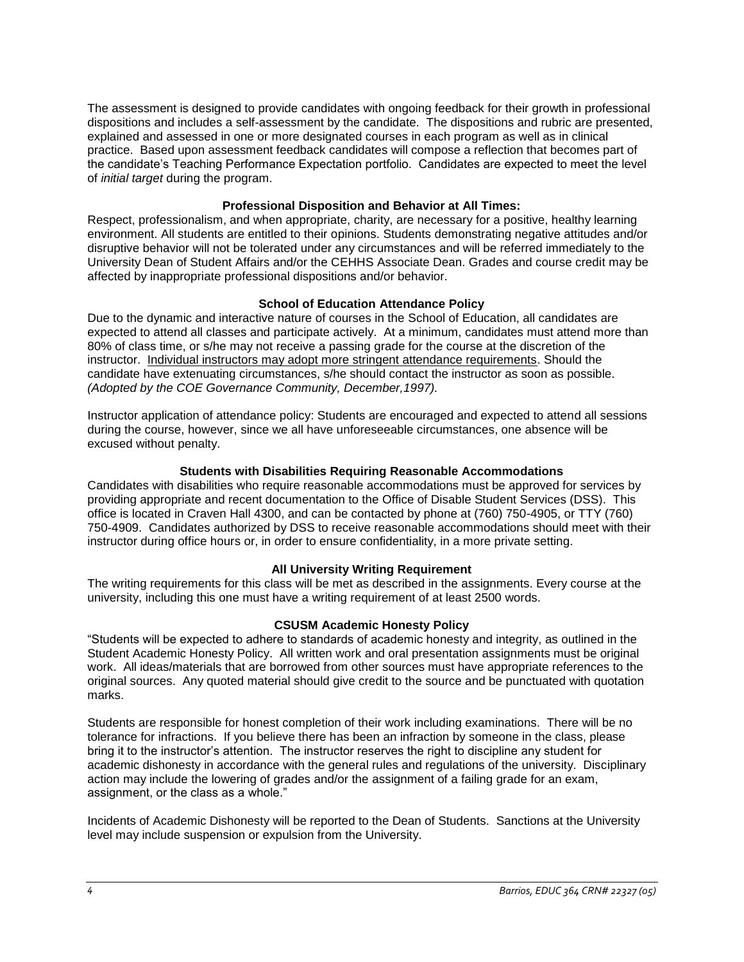The assessment is designed to provide candidates with ongoing feedback for their growth in professional dispositions and includes a self-assessment by the candidate. The dispositions and rubric are presented, explained and assessed in one or more designated courses in each program as well as in clinical practice. Based upon assessment feedback candidates will compose a reflection that becomes part of the candidate's Teaching Performance Expectation portfolio. Candidates are expected to meet the level of *initial target* during the program.

#### **Professional Disposition and Behavior at All Times:**

Respect, professionalism, and when appropriate, charity, are necessary for a positive, healthy learning environment. All students are entitled to their opinions. Students demonstrating negative attitudes and/or disruptive behavior will not be tolerated under any circumstances and will be referred immediately to the University Dean of Student Affairs and/or the CEHHS Associate Dean. Grades and course credit may be affected by inappropriate professional dispositions and/or behavior.

## **School of Education Attendance Policy**

Due to the dynamic and interactive nature of courses in the School of Education, all candidates are expected to attend all classes and participate actively. At a minimum, candidates must attend more than 80% of class time, or s/he may not receive a passing grade for the course at the discretion of the instructor. Individual instructors may adopt more stringent attendance requirements. Should the candidate have extenuating circumstances, s/he should contact the instructor as soon as possible. *(Adopted by the COE Governance Community, December,1997).*

Instructor application of attendance policy: Students are encouraged and expected to attend all sessions during the course, however, since we all have unforeseeable circumstances, one absence will be excused without penalty.

## **Students with Disabilities Requiring Reasonable Accommodations**

Candidates with disabilities who require reasonable accommodations must be approved for services by providing appropriate and recent documentation to the Office of Disable Student Services (DSS). This office is located in Craven Hall 4300, and can be contacted by phone at (760) 750-4905, or TTY (760) 750-4909. Candidates authorized by DSS to receive reasonable accommodations should meet with their instructor during office hours or, in order to ensure confidentiality, in a more private setting.

## **All University Writing Requirement**

The writing requirements for this class will be met as described in the assignments. Every course at the university, including this one must have a writing requirement of at least 2500 words.

## **CSUSM Academic Honesty Policy**

"Students will be expected to adhere to standards of academic honesty and integrity, as outlined in the Student Academic Honesty Policy. All written work and oral presentation assignments must be original work. All ideas/materials that are borrowed from other sources must have appropriate references to the original sources. Any quoted material should give credit to the source and be punctuated with quotation marks.

Students are responsible for honest completion of their work including examinations. There will be no tolerance for infractions. If you believe there has been an infraction by someone in the class, please bring it to the instructor's attention. The instructor reserves the right to discipline any student for academic dishonesty in accordance with the general rules and regulations of the university. Disciplinary action may include the lowering of grades and/or the assignment of a failing grade for an exam, assignment, or the class as a whole."

Incidents of Academic Dishonesty will be reported to the Dean of Students. Sanctions at the University level may include suspension or expulsion from the University.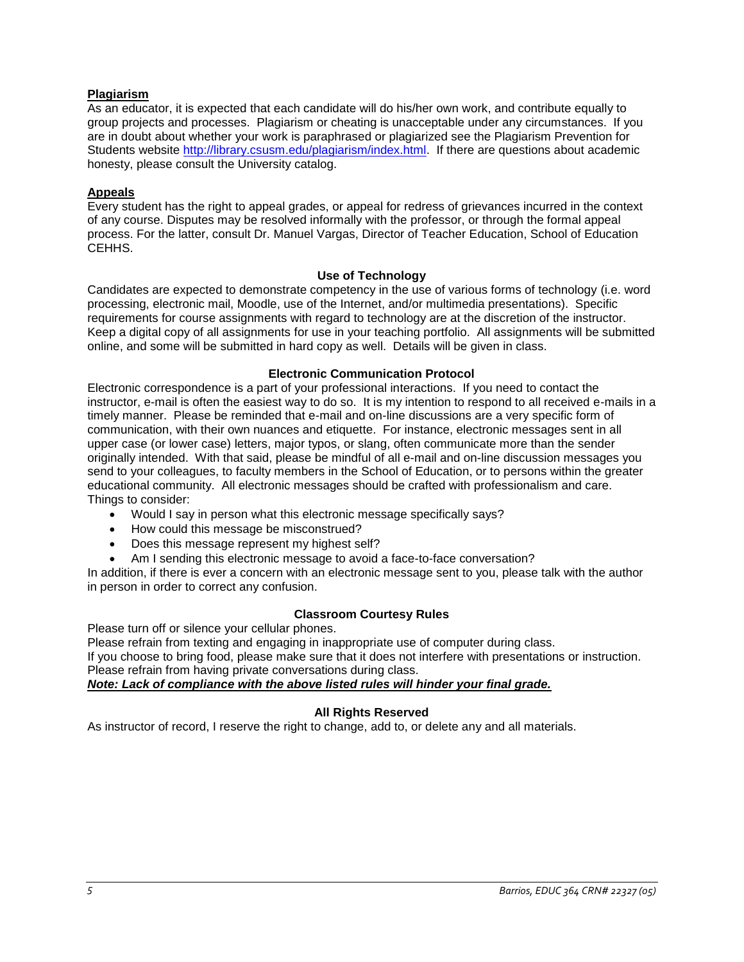## **Plagiarism**

As an educator, it is expected that each candidate will do his/her own work, and contribute equally to group projects and processes. Plagiarism or cheating is unacceptable under any circumstances. If you are in doubt about whether your work is paraphrased or plagiarized see the Plagiarism Prevention for Students website [http://library.csusm.edu/plagiarism/index.html.](http://library.csusm.edu/plagiarism/index.html) If there are questions about academic honesty, please consult the University catalog.

## **Appeals**

Every student has the right to appeal grades, or appeal for redress of grievances incurred in the context of any course. Disputes may be resolved informally with the professor, or through the formal appeal process. For the latter, consult Dr. Manuel Vargas, Director of Teacher Education, School of Education CEHHS.

## **Use of Technology**

Candidates are expected to demonstrate competency in the use of various forms of technology (i.e. word processing, electronic mail, Moodle, use of the Internet, and/or multimedia presentations). Specific requirements for course assignments with regard to technology are at the discretion of the instructor. Keep a digital copy of all assignments for use in your teaching portfolio. All assignments will be submitted online, and some will be submitted in hard copy as well. Details will be given in class.

## **Electronic Communication Protocol**

Electronic correspondence is a part of your professional interactions. If you need to contact the instructor, e-mail is often the easiest way to do so. It is my intention to respond to all received e-mails in a timely manner. Please be reminded that e-mail and on-line discussions are a very specific form of communication, with their own nuances and etiquette. For instance, electronic messages sent in all upper case (or lower case) letters, major typos, or slang, often communicate more than the sender originally intended. With that said, please be mindful of all e-mail and on-line discussion messages you send to your colleagues, to faculty members in the School of Education, or to persons within the greater educational community. All electronic messages should be crafted with professionalism and care. Things to consider:

- Would I say in person what this electronic message specifically says?
- How could this message be misconstrued?
- Does this message represent my highest self?
- Am I sending this electronic message to avoid a face-to-face conversation?

In addition, if there is ever a concern with an electronic message sent to you, please talk with the author in person in order to correct any confusion.

## **Classroom Courtesy Rules**

Please turn off or silence your cellular phones.

Please refrain from texting and engaging in inappropriate use of computer during class. If you choose to bring food, please make sure that it does not interfere with presentations or instruction. Please refrain from having private conversations during class. *Note: Lack of compliance with the above listed rules will hinder your final grade.*

## **All Rights Reserved**

As instructor of record, I reserve the right to change, add to, or delete any and all materials.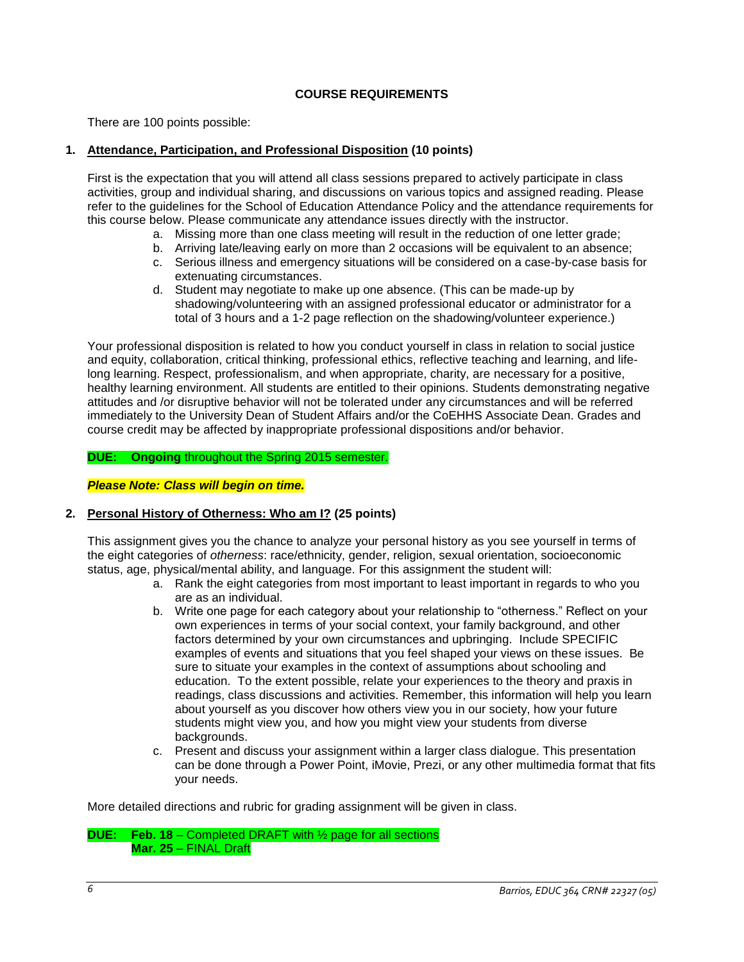# **COURSE REQUIREMENTS**

There are 100 points possible:

#### **1. Attendance, Participation, and Professional Disposition (10 points)**

First is the expectation that you will attend all class sessions prepared to actively participate in class activities, group and individual sharing, and discussions on various topics and assigned reading. Please refer to the guidelines for the School of Education Attendance Policy and the attendance requirements for this course below. Please communicate any attendance issues directly with the instructor.

- a. Missing more than one class meeting will result in the reduction of one letter grade;
- b. Arriving late/leaving early on more than 2 occasions will be equivalent to an absence;
- c. Serious illness and emergency situations will be considered on a case-by-case basis for extenuating circumstances.
- d. Student may negotiate to make up one absence. (This can be made-up by shadowing/volunteering with an assigned professional educator or administrator for a total of 3 hours and a 1-2 page reflection on the shadowing/volunteer experience.)

Your professional disposition is related to how you conduct yourself in class in relation to social justice and equity, collaboration, critical thinking, professional ethics, reflective teaching and learning, and lifelong learning. Respect, professionalism, and when appropriate, charity, are necessary for a positive, healthy learning environment. All students are entitled to their opinions. Students demonstrating negative attitudes and /or disruptive behavior will not be tolerated under any circumstances and will be referred immediately to the University Dean of Student Affairs and/or the CoEHHS Associate Dean. Grades and course credit may be affected by inappropriate professional dispositions and/or behavior.

**DUE: Ongoing** throughout the Spring 2015 semester.

*Please Note: Class will begin on time.*

## **2. Personal History of Otherness: Who am I? (25 points)**

This assignment gives you the chance to analyze your personal history as you see yourself in terms of the eight categories of *otherness*: race/ethnicity, gender, religion, sexual orientation, socioeconomic status, age, physical/mental ability, and language. For this assignment the student will:

- a. Rank the eight categories from most important to least important in regards to who you are as an individual.
- b. Write one page for each category about your relationship to "otherness." Reflect on your own experiences in terms of your social context, your family background, and other factors determined by your own circumstances and upbringing. Include SPECIFIC examples of events and situations that you feel shaped your views on these issues. Be sure to situate your examples in the context of assumptions about schooling and education. To the extent possible, relate your experiences to the theory and praxis in readings, class discussions and activities. Remember, this information will help you learn about yourself as you discover how others view you in our society, how your future students might view you, and how you might view your students from diverse backgrounds.
- c. Present and discuss your assignment within a larger class dialogue. This presentation can be done through a Power Point, iMovie, Prezi, or any other multimedia format that fits your needs.

More detailed directions and rubric for grading assignment will be given in class.

```
DUE: Feb. 18 – Completed DRAFT with ½ page for all sections
Mar. 25 – FINAL Draft
```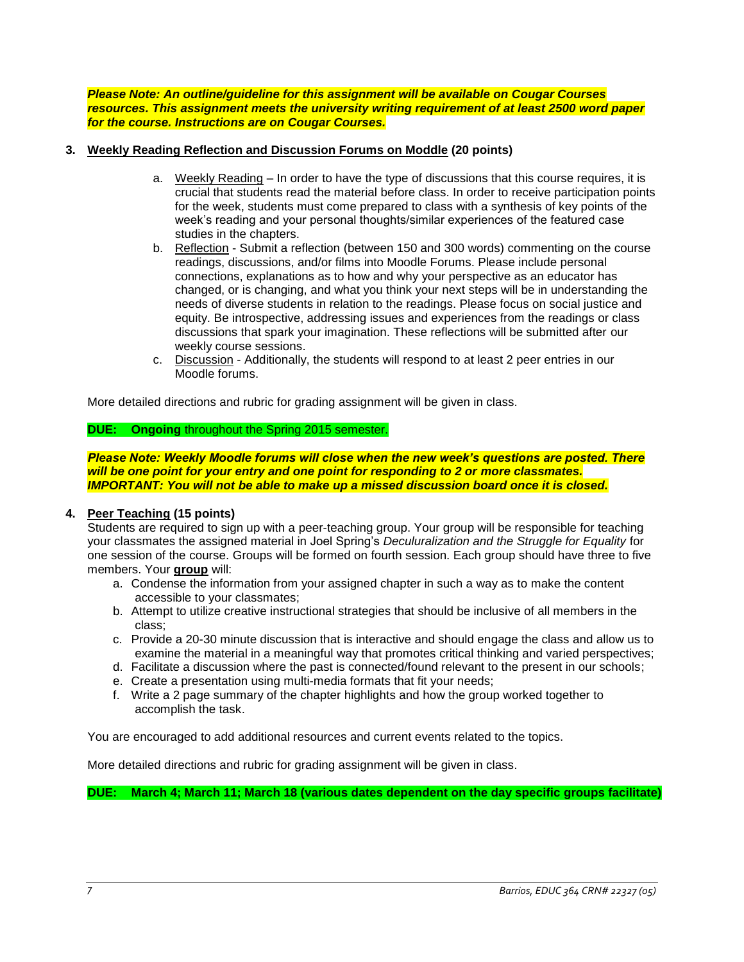*Please Note: An outline/guideline for this assignment will be available on Cougar Courses resources. This assignment meets the university writing requirement of at least 2500 word paper for the course. Instructions are on Cougar Courses.*

#### **3. Weekly Reading Reflection and Discussion Forums on Moddle (20 points)**

- a. Weekly Reading In order to have the type of discussions that this course requires, it is crucial that students read the material before class. In order to receive participation points for the week, students must come prepared to class with a synthesis of key points of the week's reading and your personal thoughts/similar experiences of the featured case studies in the chapters.
- b. Reflection Submit a reflection (between 150 and 300 words) commenting on the course readings, discussions, and/or films into Moodle Forums. Please include personal connections, explanations as to how and why your perspective as an educator has changed, or is changing, and what you think your next steps will be in understanding the needs of diverse students in relation to the readings. Please focus on social justice and equity. Be introspective, addressing issues and experiences from the readings or class discussions that spark your imagination. These reflections will be submitted after our weekly course sessions.
- c. Discussion Additionally, the students will respond to at least 2 peer entries in our Moodle forums.

More detailed directions and rubric for grading assignment will be given in class.

#### **DUE: Ongoing** throughout the Spring 2015 semester.

*Please Note: Weekly Moodle forums will close when the new week's questions are posted. There will be one point for your entry and one point for responding to 2 or more classmates. IMPORTANT: You will not be able to make up a missed discussion board once it is closed.*

## **4. Peer Teaching (15 points)**

Students are required to sign up with a peer-teaching group. Your group will be responsible for teaching your classmates the assigned material in Joel Spring's *Deculuralization and the Struggle for Equality* for one session of the course. Groups will be formed on fourth session. Each group should have three to five members. Your **group** will:

- a. Condense the information from your assigned chapter in such a way as to make the content accessible to your classmates;
- b. Attempt to utilize creative instructional strategies that should be inclusive of all members in the class;
- c. Provide a 20-30 minute discussion that is interactive and should engage the class and allow us to examine the material in a meaningful way that promotes critical thinking and varied perspectives;
- d. Facilitate a discussion where the past is connected/found relevant to the present in our schools;
- e. Create a presentation using multi-media formats that fit your needs;
- f. Write a 2 page summary of the chapter highlights and how the group worked together to accomplish the task.

You are encouraged to add additional resources and current events related to the topics.

More detailed directions and rubric for grading assignment will be given in class.

**DUE: March 4; March 11; March 18 (various dates dependent on the day specific groups facilitate)**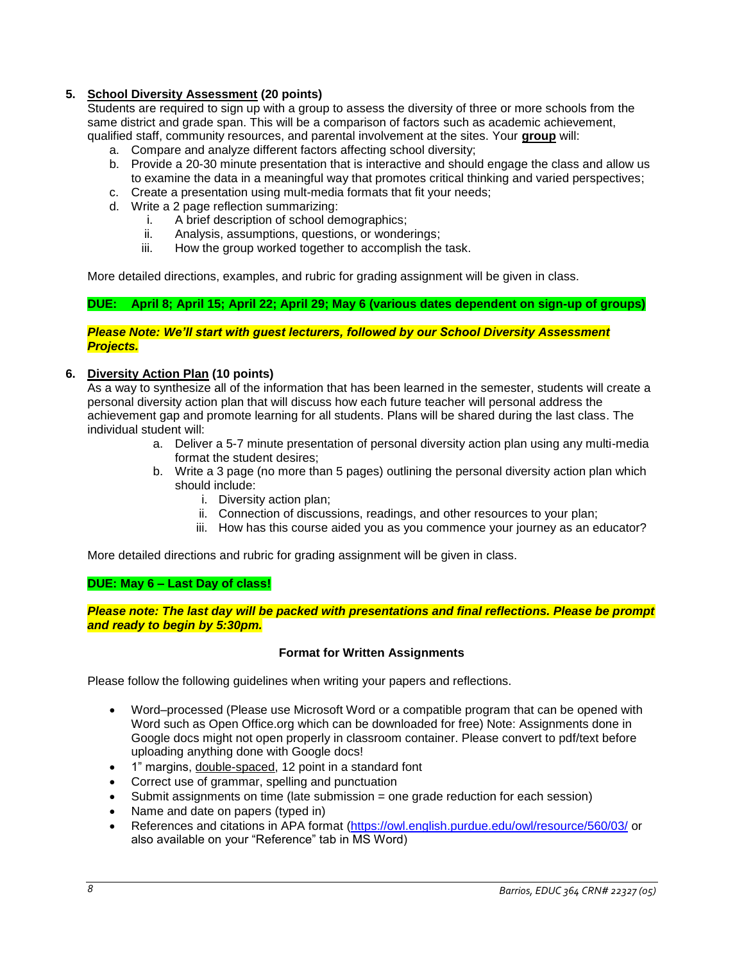# **5. School Diversity Assessment (20 points)**

Students are required to sign up with a group to assess the diversity of three or more schools from the same district and grade span. This will be a comparison of factors such as academic achievement, qualified staff, community resources, and parental involvement at the sites. Your **group** will:

- a. Compare and analyze different factors affecting school diversity;
- b. Provide a 20-30 minute presentation that is interactive and should engage the class and allow us to examine the data in a meaningful way that promotes critical thinking and varied perspectives;
- c. Create a presentation using mult-media formats that fit your needs;
- d. Write a 2 page reflection summarizing:
	- i. A brief description of school demographics;
	- ii. Analysis, assumptions, questions, or wonderings;
	- iii. How the group worked together to accomplish the task.

More detailed directions, examples, and rubric for grading assignment will be given in class.

#### **DUE: April 8; April 15; April 22; April 29; May 6 (various dates dependent on sign-up of groups)**

#### *Please Note: We'll start with guest lecturers, followed by our School Diversity Assessment Projects.*

## **6. Diversity Action Plan (10 points)**

As a way to synthesize all of the information that has been learned in the semester, students will create a personal diversity action plan that will discuss how each future teacher will personal address the achievement gap and promote learning for all students. Plans will be shared during the last class. The individual student will:

- a. Deliver a 5-7 minute presentation of personal diversity action plan using any multi-media format the student desires;
- b. Write a 3 page (no more than 5 pages) outlining the personal diversity action plan which should include:
	- i. Diversity action plan;
	- ii. Connection of discussions, readings, and other resources to your plan;
	- iii. How has this course aided you as you commence your journey as an educator?

More detailed directions and rubric for grading assignment will be given in class.

#### **DUE: May 6 – Last Day of class!**

*Please note: The last day will be packed with presentations and final reflections. Please be prompt and ready to begin by 5:30pm.*

#### **Format for Written Assignments**

Please follow the following guidelines when writing your papers and reflections.

- Word–processed (Please use Microsoft Word or a compatible program that can be opened with Word such as Open Office.org which can be downloaded for free) Note: Assignments done in Google docs might not open properly in classroom container. Please convert to pdf/text before uploading anything done with Google docs!
- 1" margins, double-spaced, 12 point in a standard font
- Correct use of grammar, spelling and punctuation
- Submit assignments on time (late submission = one grade reduction for each session)
- Name and date on papers (typed in)
- References and citations in APA format [\(https://owl.english.purdue.edu/owl/resource/560/03/](https://owl.english.purdue.edu/owl/resource/560/03/) or also available on your "Reference" tab in MS Word)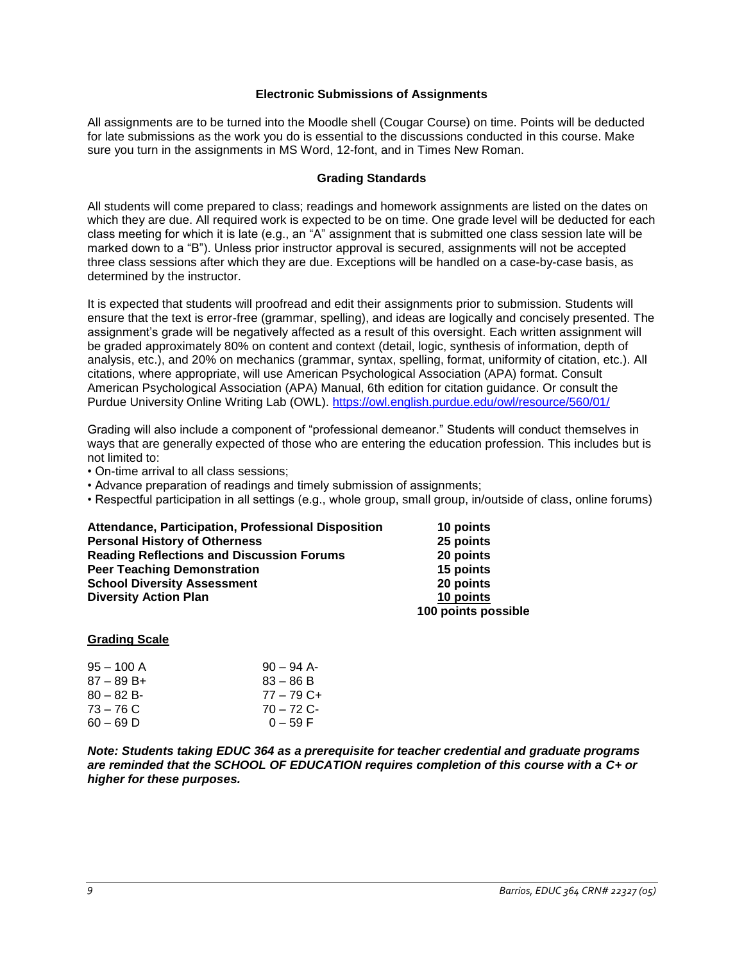#### **Electronic Submissions of Assignments**

All assignments are to be turned into the Moodle shell (Cougar Course) on time. Points will be deducted for late submissions as the work you do is essential to the discussions conducted in this course. Make sure you turn in the assignments in MS Word, 12-font, and in Times New Roman.

#### **Grading Standards**

All students will come prepared to class; readings and homework assignments are listed on the dates on which they are due. All required work is expected to be on time. One grade level will be deducted for each class meeting for which it is late (e.g., an "A" assignment that is submitted one class session late will be marked down to a "B"). Unless prior instructor approval is secured, assignments will not be accepted three class sessions after which they are due. Exceptions will be handled on a case-by-case basis, as determined by the instructor.

It is expected that students will proofread and edit their assignments prior to submission. Students will ensure that the text is error-free (grammar, spelling), and ideas are logically and concisely presented. The assignment's grade will be negatively affected as a result of this oversight. Each written assignment will be graded approximately 80% on content and context (detail, logic, synthesis of information, depth of analysis, etc.), and 20% on mechanics (grammar, syntax, spelling, format, uniformity of citation, etc.). All citations, where appropriate, will use American Psychological Association (APA) format. Consult American Psychological Association (APA) Manual, 6th edition for citation guidance. Or consult the Purdue University Online Writing Lab (OWL).<https://owl.english.purdue.edu/owl/resource/560/01/>

Grading will also include a component of "professional demeanor." Students will conduct themselves in ways that are generally expected of those who are entering the education profession. This includes but is not limited to:

- On-time arrival to all class sessions;
- Advance preparation of readings and timely submission of assignments;
- Respectful participation in all settings (e.g., whole group, small group, in/outside of class, online forums)

**Attendance, Participation, Professional Disposition 10 points Personal History of Otherness 25 points Reading Reflections and Discussion Forums 20 points Peer Teaching Demonstration 15 points School Diversity Assessment Diversity Action Plan 10 points**

 **100 points possible**

#### **Grading Scale**

| 95 – 100 A  | $90 - 94$ A- |
|-------------|--------------|
| 87 – 89 B+  | $83 - 86 B$  |
| $80 - 82 B$ | $77 - 79C +$ |
| 73 – 76 C   | $70 - 72$ C- |
| 60 – 69 D   | $0 - 59 F$   |

*Note: Students taking EDUC 364 as a prerequisite for teacher credential and graduate programs are reminded that the SCHOOL OF EDUCATION requires completion of this course with a C+ or higher for these purposes.*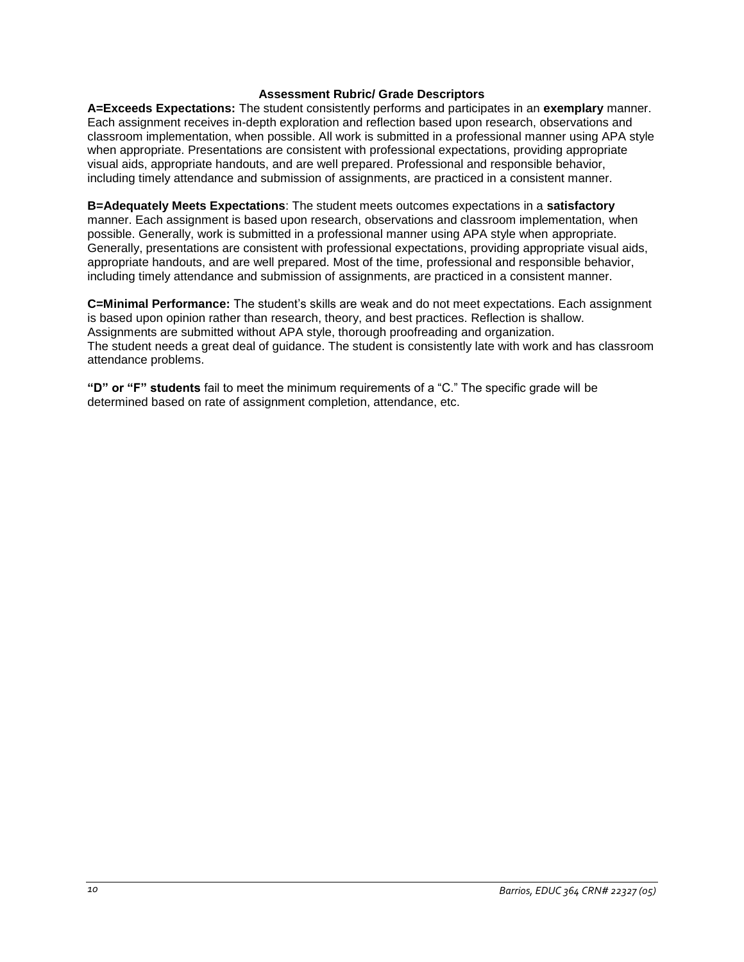#### **Assessment Rubric/ Grade Descriptors**

**A=Exceeds Expectations:** The student consistently performs and participates in an **exemplary** manner. Each assignment receives in-depth exploration and reflection based upon research, observations and classroom implementation, when possible. All work is submitted in a professional manner using APA style when appropriate. Presentations are consistent with professional expectations, providing appropriate visual aids, appropriate handouts, and are well prepared. Professional and responsible behavior, including timely attendance and submission of assignments, are practiced in a consistent manner.

**B=Adequately Meets Expectations**: The student meets outcomes expectations in a **satisfactory** manner. Each assignment is based upon research, observations and classroom implementation, when possible. Generally, work is submitted in a professional manner using APA style when appropriate. Generally, presentations are consistent with professional expectations, providing appropriate visual aids, appropriate handouts, and are well prepared. Most of the time, professional and responsible behavior, including timely attendance and submission of assignments, are practiced in a consistent manner.

**C=Minimal Performance:** The student's skills are weak and do not meet expectations. Each assignment is based upon opinion rather than research, theory, and best practices. Reflection is shallow. Assignments are submitted without APA style, thorough proofreading and organization. The student needs a great deal of guidance. The student is consistently late with work and has classroom attendance problems.

**"D" or "F" students** fail to meet the minimum requirements of a "C." The specific grade will be determined based on rate of assignment completion, attendance, etc.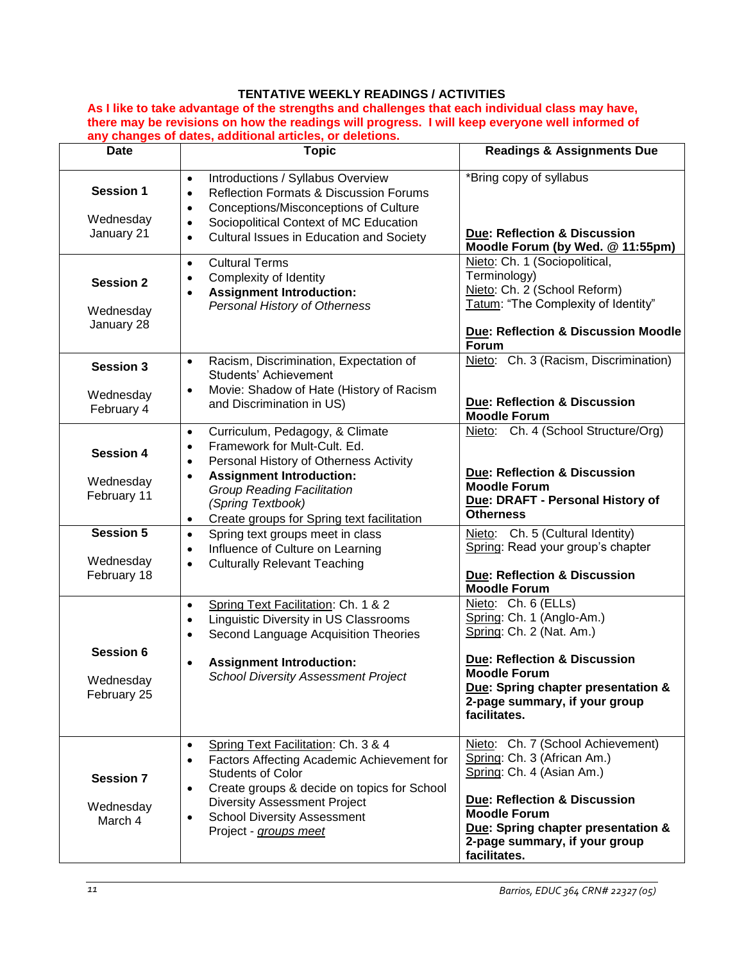# **TENTATIVE WEEKLY READINGS / ACTIVITIES**

**As I like to take advantage of the strengths and challenges that each individual class may have, there may be revisions on how the readings will progress. I will keep everyone well informed of any changes of dates, additional articles, or deletions.** 

| <b>Date</b>                                  | <b>Topic</b>                                                                                                                                                                                                                                                                                             | <b>Readings &amp; Assignments Due</b>                                                                                                                                                                                                                  |
|----------------------------------------------|----------------------------------------------------------------------------------------------------------------------------------------------------------------------------------------------------------------------------------------------------------------------------------------------------------|--------------------------------------------------------------------------------------------------------------------------------------------------------------------------------------------------------------------------------------------------------|
| <b>Session 1</b><br>Wednesday<br>January 21  | Introductions / Syllabus Overview<br>$\bullet$<br><b>Reflection Formats &amp; Discussion Forums</b><br>$\bullet$<br>Conceptions/Misconceptions of Culture<br>$\bullet$<br>Sociopolitical Context of MC Education<br>$\bullet$<br>Cultural Issues in Education and Society<br>$\bullet$                   | *Bring copy of syllabus<br><b>Due: Reflection &amp; Discussion</b><br>Moodle Forum (by Wed. @ 11:55pm)                                                                                                                                                 |
| <b>Session 2</b><br>Wednesday<br>January 28  | <b>Cultural Terms</b><br>$\bullet$<br>Complexity of Identity<br><b>Assignment Introduction:</b><br>Personal History of Otherness                                                                                                                                                                         | Nieto: Ch. 1 (Sociopolitical,<br>Terminology)<br>Nieto: Ch. 2 (School Reform)<br>Tatum: "The Complexity of Identity"<br><b>Due: Reflection &amp; Discussion Moodle</b><br>Forum                                                                        |
| <b>Session 3</b><br>Wednesday<br>February 4  | Racism, Discrimination, Expectation of<br>$\bullet$<br>Students' Achievement<br>Movie: Shadow of Hate (History of Racism<br>$\bullet$<br>and Discrimination in US)                                                                                                                                       | Nieto: Ch. 3 (Racism, Discrimination)<br><b>Due: Reflection &amp; Discussion</b><br><b>Moodle Forum</b>                                                                                                                                                |
| <b>Session 4</b><br>Wednesday<br>February 11 | Curriculum, Pedagogy, & Climate<br>$\bullet$<br>Framework for Mult-Cult. Ed.<br>$\bullet$<br>Personal History of Otherness Activity<br>$\bullet$<br><b>Assignment Introduction:</b><br><b>Group Reading Facilitation</b><br>(Spring Textbook)<br>Create groups for Spring text facilitation<br>$\bullet$ | Nieto: Ch. 4 (School Structure/Org)<br>Due: Reflection & Discussion<br><b>Moodle Forum</b><br>Due: DRAFT - Personal History of<br><b>Otherness</b>                                                                                                     |
| Session 5<br>Wednesday<br>February 18        | Spring text groups meet in class<br>$\bullet$<br>Influence of Culture on Learning<br>$\bullet$<br><b>Culturally Relevant Teaching</b><br>$\bullet$                                                                                                                                                       | Nieto: Ch. 5 (Cultural Identity)<br>Spring: Read your group's chapter<br>Due: Reflection & Discussion<br><b>Moodle Forum</b>                                                                                                                           |
| <b>Session 6</b><br>Wednesday<br>February 25 | Spring Text Facilitation: Ch. 1 & 2<br>$\bullet$<br><b>Linguistic Diversity in US Classrooms</b><br>$\bullet$<br>Second Language Acquisition Theories<br>$\bullet$<br><b>Assignment Introduction:</b><br><b>School Diversity Assessment Project</b>                                                      | Nieto: Ch. 6 (ELLs)<br>Spring: Ch. 1 (Anglo-Am.)<br>Spring: Ch. 2 (Nat. Am.)<br><b>Due: Reflection &amp; Discussion</b><br><b>Moodle Forum</b><br>Due: Spring chapter presentation &<br>2-page summary, if your group<br>facilitates.                  |
| <b>Session 7</b><br>Wednesday<br>March 4     | Spring Text Facilitation: Ch. 3 & 4<br>Factors Affecting Academic Achievement for<br><b>Students of Color</b><br>Create groups & decide on topics for School<br><b>Diversity Assessment Project</b><br><b>School Diversity Assessment</b><br>Project - groups meet                                       | Nieto: Ch. 7 (School Achievement)<br>Spring: Ch. 3 (African Am.)<br>Spring: Ch. 4 (Asian Am.)<br><b>Due: Reflection &amp; Discussion</b><br><b>Moodle Forum</b><br>Due: Spring chapter presentation &<br>2-page summary, if your group<br>facilitates. |